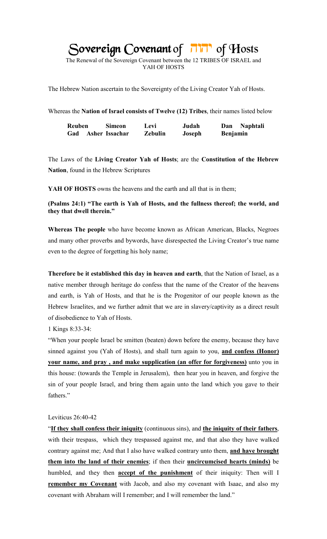Sovereign Covenant of Film of Hosts

The Renewal of the Sovereign Covenant between the 12 TRIBES OF ISRAEL and YAH OF HOSTS

The Hebrew Nation ascertain to the Sovereignty of the Living Creator Yah of Hosts.

Whereas the **Nation of Israel consists of Twelve (12) Tribes**, their names listed below

| <b>Reuben</b>      | <b>Simeon</b> | Levi    | Judah  | <b>Naphtali</b><br>Dan |
|--------------------|---------------|---------|--------|------------------------|
| Gad Asher Issachar |               | Zebulin | Joseph | <b>Benjamin</b>        |

The Laws of the **Living Creator Yah of Hosts**; are the **Constitution of the Hebrew Nation**, found in the Hebrew Scriptures

**YAH OF HOSTS** owns the heavens and the earth and all that is in them;

**(Psalms 24:1) "The earth is Yah of Hosts, and the fullness thereof; the world, and they that dwell therein."**

**Whereas The people** who have become known as African American, Blacks, Negroes and many other proverbs and bywords, have disrespected the Living Creator's true name even to the degree of forgetting his holy name;

**Therefore be it established this day in heaven and earth**, that the Nation of Israel, as a native member through heritage do confess that the name of the Creator of the heavens and earth, is Yah of Hosts, and that he is the Progenitor of our people known as the Hebrew Israelites, and we further admit that we are in slavery/captivity as a direct result of disobedience to Yah of Hosts.

1 Kings 8:33-34:

"When your people Israel be smitten (beaten) down before the enemy, because they have sinned against you (Yah of Hosts), and shall turn again to you, **and confess (Honor) your name, and pray , and make supplication (an offer for forgiveness)** unto you in this house: (towards the Temple in Jerusalem), then hear you in heaven, and forgive the sin of your people Israel, and bring them again unto the land which you gave to their fathers."

# Leviticus 26:40-42

"**If they shall confess their iniquity** (continuous sins), and **the iniquity of their fathers**, with their trespass, which they trespassed against me, and that also they have walked contrary against me; And that I also have walked contrary unto them, **and have brought them into the land of their enemies**; if then their **uncircumcised hearts (minds)** be humbled, and they then **accept of the punishment** of their iniquity: Then will I **remember my Covenant** with Jacob, and also my covenant with Isaac, and also my covenant with Abraham will I remember; and I will remember the land."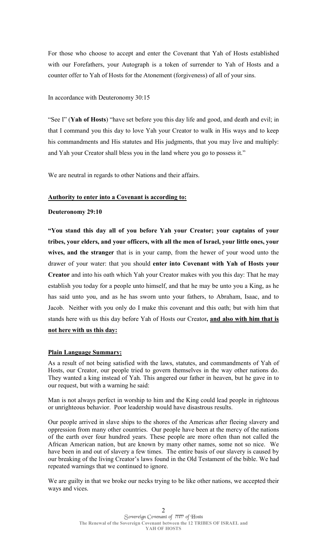For those who choose to accept and enter the Covenant that Yah of Hosts established with our Forefathers, your Autograph is a token of surrender to Yah of Hosts and a counter offer to Yah of Hosts for the Atonement (forgiveness) of all of your sins.

## In accordance with Deuteronomy 30:15

"See I" (**Yah of Hosts**) "have set before you this day life and good, and death and evil; in that I command you this day to love Yah your Creator to walk in His ways and to keep his commandments and His statutes and His judgments, that you may live and multiply: and Yah your Creator shall bless you in the land where you go to possess it."

We are neutral in regards to other Nations and their affairs.

## **Authority to enter into a Covenant is according to:**

## **Deuteronomy 29:10**

**"You stand this day all of you before Yah your Creator; your captains of your tribes, your elders, and your officers, with all the men of Israel, your little ones, your wives, and the stranger** that is in your camp, from the hewer of your wood unto the drawer of your water: that you should **enter into Covenant with Yah of Hosts your Creator** and into his oath which Yah your Creator makes with you this day: That he may establish you today for a people unto himself, and that he may be unto you a King, as he has said unto you, and as he has sworn unto your fathers, to Abraham, Isaac, and to Jacob. Neither with you only do I make this covenant and this oath; but with him that stands here with us this day before Yah of Hosts our Creator**, and also with him that is not here with us this day:** 

# **Plain Language Summary:**

As a result of not being satisfied with the laws, statutes, and commandments of Yah of Hosts, our Creator, our people tried to govern themselves in the way other nations do. They wanted a king instead of Yah. This angered our father in heaven, but he gave in to our request, but with a warning he said:

Man is not always perfect in worship to him and the King could lead people in righteous or unrighteous behavior. Poor leadership would have disastrous results.

Our people arrived in slave ships to the shores of the Americas after fleeing slavery and oppression from many other countries. Our people have been at the mercy of the nations of the earth over four hundred years. These people are more often than not called the African American nation, but are known by many other names, some not so nice. We have been in and out of slavery a few times. The entire basis of our slavery is caused by our breaking of the living Creator's laws found in the Old Testament of the bible. We had repeated warnings that we continued to ignore.

We are guilty in that we broke our necks trying to be like other nations, we accepted their ways and vices.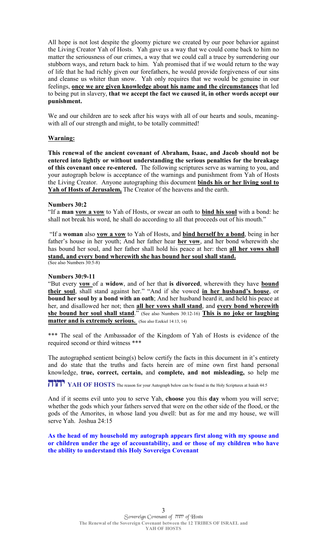All hope is not lost despite the gloomy picture we created by our poor behavior against the Living Creator Yah of Hosts. Yah gave us a way that we could come back to him no matter the seriousness of our crimes, a way that we could call a truce by surrendering our stubborn ways, and return back to him. Yah promised that if we would return to the way of life that he had richly given our forefathers, he would provide forgiveness of our sins and cleanse us whiter than snow. Yah only requires that we would be genuine in our feelings, **once we are given knowledge about his name and the circumstances** that led to being put in slavery, **that we accept the fact we caused it, in other words accept our punishment.** 

We and our children are to seek after his ways with all of our hearts and souls, meaningwith all of our strength and might, to be totally committed!

## **Warning:**

**This renewal of the ancient covenant of Abraham, Isaac, and Jacob should not be entered into lightly or without understanding the serious penalties for the breakage of this covenant once re-entered.** The following scriptures serve as warning to you, and your autograph below is acceptance of the warnings and punishment from Yah of Hosts the Living Creator. Anyone autographing this document **binds his or her living soul to Yah of Hosts of Jerusalem,** The Creator of the heavens and the earth.

### **Numbers 30:2**

"If a **man vow a vow** to Yah of Hosts, or swear an oath to **bind his soul** with a bond: he shall not break his word, he shall do according to all that proceeds out of his mouth."

 "If a **woman** also **vow a vow** to Yah of Hosts, and **bind herself by a bond**, being in her father's house in her youth; And her father hear **her vow**, and her bond wherewith she has bound her soul, and her father shall hold his peace at her: then **all her vows shall stand, and every bond wherewith she has bound her soul shall stand.** (See also Numbers 30:5-8)

#### **Numbers 30:9-11**

"But every **vow** of a **widow**, and of her that **is divorced**, wherewith they have **bound their soul**, shall stand against her." "And if she vowed **in her husband's house**, or **bound her soul by a bond with an oath**; And her husband heard it, and held his peace at her, and disallowed her not; then **all her vows shall stand**, and **every bond wherewith she bound her soul shall stand**." (See also Numbers 30:12-16) **This is no joke or laughing matter and is extremely serious.** (See also Ezekiel 14:13, 14)

\*\*\* The seal of the Ambassador of the Kingdom of Yah of Hosts is evidence of the required second or third witness \*\*\*

The autographed sentient being(s) below certify the facts in this document in it's entirety and do state that the truths and facts herein are of mine own first hand personal knowledge, **true, correct, certain,** and **complete, and not misleading,** so help me

**THIT** YAH OF HOSTS The reason for your Autograph below can be found in the Holy Scriptures at Isaiah 44:5

And if it seems evil unto you to serve Yah, **choose** you this **day** whom you will serve; whether the gods which your fathers served that were on the other side of the flood, or the gods of the Amorites, in whose land you dwell: but as for me and my house, we will serve Yah. Joshua 24:15

**As the head of my household my autograph appears first along with my spouse and or children under the age of accountability, and or those of my children who have the ability to understand this Holy Sovereign Covenant**